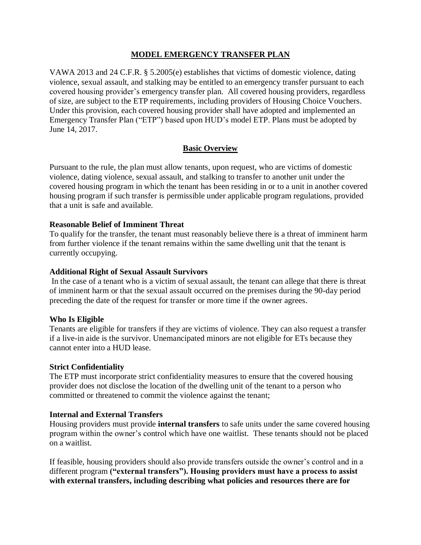### **MODEL EMERGENCY TRANSFER PLAN**

VAWA 2013 and 24 C.F.R. § 5.2005(e) establishes that victims of domestic violence, dating violence, sexual assault, and stalking may be entitled to an emergency transfer pursuant to each covered housing provider's emergency transfer plan. All covered housing providers, regardless of size, are subject to the ETP requirements, including providers of Housing Choice Vouchers. Under this provision, each covered housing provider shall have adopted and implemented an Emergency Transfer Plan ("ETP") based upon HUD's model ETP. Plans must be adopted by June 14, 2017.

### **Basic Overview**

Pursuant to the rule, the plan must allow tenants, upon request, who are victims of domestic violence, dating violence, sexual assault, and stalking to transfer to another unit under the covered housing program in which the tenant has been residing in or to a unit in another covered housing program if such transfer is permissible under applicable program regulations, provided that a unit is safe and available.

### **Reasonable Belief of Imminent Threat**

To qualify for the transfer, the tenant must reasonably believe there is a threat of imminent harm from further violence if the tenant remains within the same dwelling unit that the tenant is currently occupying.

#### **Additional Right of Sexual Assault Survivors**

In the case of a tenant who is a victim of sexual assault, the tenant can allege that there is threat of imminent harm or that the sexual assault occurred on the premises during the 90-day period preceding the date of the request for transfer or more time if the owner agrees.

### **Who Is Eligible**

Tenants are eligible for transfers if they are victims of violence. They can also request a transfer if a live-in aide is the survivor. Unemancipated minors are not eligible for ETs because they cannot enter into a HUD lease.

### **Strict Confidentiality**

The ETP must incorporate strict confidentiality measures to ensure that the covered housing provider does not disclose the location of the dwelling unit of the tenant to a person who committed or threatened to commit the violence against the tenant;

### **Internal and External Transfers**

Housing providers must provide **internal transfers** to safe units under the same covered housing program within the owner's control which have one waitlist. These tenants should not be placed on a waitlist.

If feasible, housing providers should also provide transfers outside the owner's control and in a different program **("external transfers"). Housing providers must have a process to assist with external transfers, including describing what policies and resources there are for**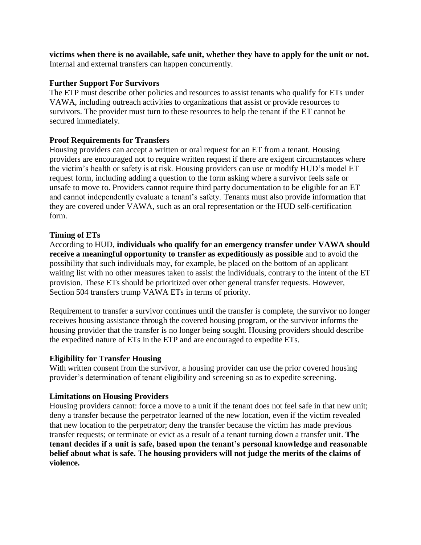**victims when there is no available, safe unit, whether they have to apply for the unit or not.**  Internal and external transfers can happen concurrently.

### **Further Support For Survivors**

The ETP must describe other policies and resources to assist tenants who qualify for ETs under VAWA, including outreach activities to organizations that assist or provide resources to survivors. The provider must turn to these resources to help the tenant if the ET cannot be secured immediately.

## **Proof Requirements for Transfers**

Housing providers can accept a written or oral request for an ET from a tenant. Housing providers are encouraged not to require written request if there are exigent circumstances where the victim's health or safety is at risk. Housing providers can use or modify HUD's model ET request form, including adding a question to the form asking where a survivor feels safe or unsafe to move to. Providers cannot require third party documentation to be eligible for an ET and cannot independently evaluate a tenant's safety. Tenants must also provide information that they are covered under VAWA, such as an oral representation or the HUD self-certification form.

### **Timing of ETs**

According to HUD, **individuals who qualify for an emergency transfer under VAWA should receive a meaningful opportunity to transfer as expeditiously as possible** and to avoid the possibility that such individuals may, for example, be placed on the bottom of an applicant waiting list with no other measures taken to assist the individuals, contrary to the intent of the ET provision. These ETs should be prioritized over other general transfer requests. However, Section 504 transfers trump VAWA ETs in terms of priority.

Requirement to transfer a survivor continues until the transfer is complete, the survivor no longer receives housing assistance through the covered housing program, or the survivor informs the housing provider that the transfer is no longer being sought. Housing providers should describe the expedited nature of ETs in the ETP and are encouraged to expedite ETs.

### **Eligibility for Transfer Housing**

With written consent from the survivor, a housing provider can use the prior covered housing provider's determination of tenant eligibility and screening so as to expedite screening.

### **Limitations on Housing Providers**

Housing providers cannot: force a move to a unit if the tenant does not feel safe in that new unit; deny a transfer because the perpetrator learned of the new location, even if the victim revealed that new location to the perpetrator; deny the transfer because the victim has made previous transfer requests; or terminate or evict as a result of a tenant turning down a transfer unit. **The tenant decides if a unit is safe, based upon the tenant's personal knowledge and reasonable belief about what is safe. The housing providers will not judge the merits of the claims of violence.**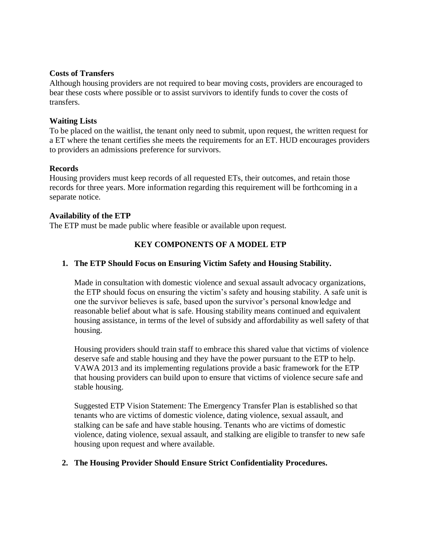### **Costs of Transfers**

Although housing providers are not required to bear moving costs, providers are encouraged to bear these costs where possible or to assist survivors to identify funds to cover the costs of transfers.

## **Waiting Lists**

To be placed on the waitlist, the tenant only need to submit, upon request, the written request for a ET where the tenant certifies she meets the requirements for an ET. HUD encourages providers to providers an admissions preference for survivors.

### **Records**

Housing providers must keep records of all requested ETs, their outcomes, and retain those records for three years. More information regarding this requirement will be forthcoming in a separate notice.

### **Availability of the ETP**

The ETP must be made public where feasible or available upon request.

# **KEY COMPONENTS OF A MODEL ETP**

### **1. The ETP Should Focus on Ensuring Victim Safety and Housing Stability.**

Made in consultation with domestic violence and sexual assault advocacy organizations, the ETP should focus on ensuring the victim's safety and housing stability. A safe unit is one the survivor believes is safe, based upon the survivor's personal knowledge and reasonable belief about what is safe. Housing stability means continued and equivalent housing assistance, in terms of the level of subsidy and affordability as well safety of that housing.

Housing providers should train staff to embrace this shared value that victims of violence deserve safe and stable housing and they have the power pursuant to the ETP to help. VAWA 2013 and its implementing regulations provide a basic framework for the ETP that housing providers can build upon to ensure that victims of violence secure safe and stable housing.

Suggested ETP Vision Statement: The Emergency Transfer Plan is established so that tenants who are victims of domestic violence, dating violence, sexual assault, and stalking can be safe and have stable housing. Tenants who are victims of domestic violence, dating violence, sexual assault, and stalking are eligible to transfer to new safe housing upon request and where available.

### **2. The Housing Provider Should Ensure Strict Confidentiality Procedures.**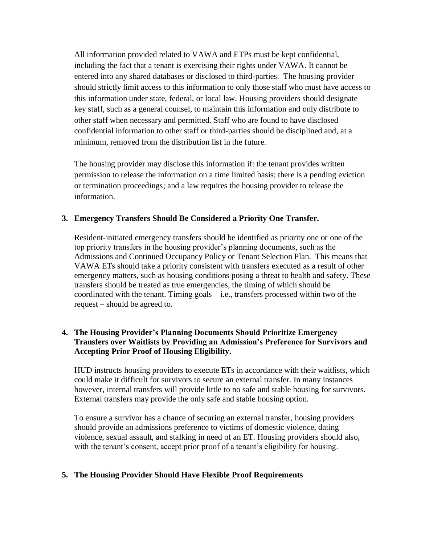All information provided related to VAWA and ETPs must be kept confidential, including the fact that a tenant is exercising their rights under VAWA. It cannot be entered into any shared databases or disclosed to third-parties. The housing provider should strictly limit access to this information to only those staff who must have access to this information under state, federal, or local law. Housing providers should designate key staff, such as a general counsel, to maintain this information and only distribute to other staff when necessary and permitted. Staff who are found to have disclosed confidential information to other staff or third-parties should be disciplined and, at a minimum, removed from the distribution list in the future.

The housing provider may disclose this information if: the tenant provides written permission to release the information on a time limited basis; there is a pending eviction or termination proceedings; and a law requires the housing provider to release the information.

### **3. Emergency Transfers Should Be Considered a Priority One Transfer.**

Resident-initiated emergency transfers should be identified as priority one or one of the top priority transfers in the housing provider's planning documents, such as the Admissions and Continued Occupancy Policy or Tenant Selection Plan. This means that VAWA ETs should take a priority consistent with transfers executed as a result of other emergency matters, such as housing conditions posing a threat to health and safety. These transfers should be treated as true emergencies, the timing of which should be coordinated with the tenant. Timing goals – i.e., transfers processed within two of the request – should be agreed to.

# **4. The Housing Provider's Planning Documents Should Prioritize Emergency Transfers over Waitlists by Providing an Admission's Preference for Survivors and Accepting Prior Proof of Housing Eligibility.**

HUD instructs housing providers to execute ETs in accordance with their waitlists, which could make it difficult for survivors to secure an external transfer. In many instances however, internal transfers will provide little to no safe and stable housing for survivors. External transfers may provide the only safe and stable housing option.

To ensure a survivor has a chance of securing an external transfer, housing providers should provide an admissions preference to victims of domestic violence, dating violence, sexual assault, and stalking in need of an ET. Housing providers should also, with the tenant's consent, accept prior proof of a tenant's eligibility for housing.

# **5. The Housing Provider Should Have Flexible Proof Requirements**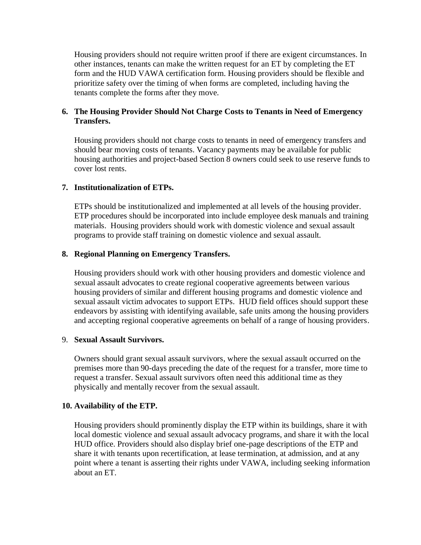Housing providers should not require written proof if there are exigent circumstances. In other instances, tenants can make the written request for an ET by completing the ET form and the HUD VAWA certification form. Housing providers should be flexible and prioritize safety over the timing of when forms are completed, including having the tenants complete the forms after they move.

## **6. The Housing Provider Should Not Charge Costs to Tenants in Need of Emergency Transfers.**

Housing providers should not charge costs to tenants in need of emergency transfers and should bear moving costs of tenants. Vacancy payments may be available for public housing authorities and project-based Section 8 owners could seek to use reserve funds to cover lost rents.

### **7. Institutionalization of ETPs.**

ETPs should be institutionalized and implemented at all levels of the housing provider. ETP procedures should be incorporated into include employee desk manuals and training materials. Housing providers should work with domestic violence and sexual assault programs to provide staff training on domestic violence and sexual assault.

### **8. Regional Planning on Emergency Transfers.**

Housing providers should work with other housing providers and domestic violence and sexual assault advocates to create regional cooperative agreements between various housing providers of similar and different housing programs and domestic violence and sexual assault victim advocates to support ETPs. HUD field offices should support these endeavors by assisting with identifying available, safe units among the housing providers and accepting regional cooperative agreements on behalf of a range of housing providers.

### 9. **Sexual Assault Survivors.**

Owners should grant sexual assault survivors, where the sexual assault occurred on the premises more than 90-days preceding the date of the request for a transfer, more time to request a transfer. Sexual assault survivors often need this additional time as they physically and mentally recover from the sexual assault.

### **10. Availability of the ETP.**

Housing providers should prominently display the ETP within its buildings, share it with local domestic violence and sexual assault advocacy programs, and share it with the local HUD office. Providers should also display brief one-page descriptions of the ETP and share it with tenants upon recertification, at lease termination, at admission, and at any point where a tenant is asserting their rights under VAWA, including seeking information about an ET.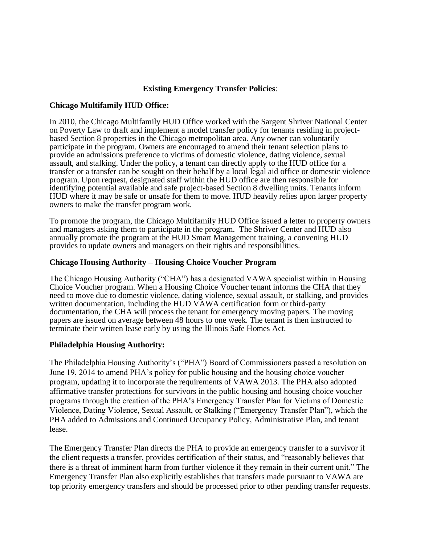### **Existing Emergency Transfer Policies**:

### **Chicago Multifamily HUD Office:**

In 2010, the Chicago Multifamily HUD Office worked with the Sargent Shriver National Center on Poverty Law to draft and implement a model transfer policy for tenants residing in projectbased Section 8 properties in the Chicago metropolitan area. Any owner can voluntarily participate in the program. Owners are encouraged to amend their tenant selection plans to provide an admissions preference to victims of domestic violence, dating violence, sexual assault, and stalking. Under the policy, a tenant can directly apply to the HUD office for a transfer or a transfer can be sought on their behalf by a local legal aid office or domestic violence program. Upon request, designated staff within the HUD office are then responsible for identifying potential available and safe project-based Section 8 dwelling units. Tenants inform HUD where it may be safe or unsafe for them to move. HUD heavily relies upon larger property owners to make the transfer program work.

To promote the program, the Chicago Multifamily HUD Office issued a letter to property owners and managers asking them to participate in the program. The Shriver Center and HUD also annually promote the program at the HUD Smart Management training, a convening HUD provides to update owners and managers on their rights and responsibilities.

#### **Chicago Housing Authority – Housing Choice Voucher Program**

The Chicago Housing Authority ("CHA") has a designated VAWA specialist within in Housing Choice Voucher program. When a Housing Choice Voucher tenant informs the CHA that they need to move due to domestic violence, dating violence, sexual assault, or stalking, and provides written documentation, including the HUD VAWA certification form or third-party documentation, the CHA will process the tenant for emergency moving papers. The moving papers are issued on average between 48 hours to one week. The tenant is then instructed to terminate their written lease early by using the Illinois Safe Homes Act.

### **Philadelphia Housing Authority:**

The Philadelphia Housing Authority's ("PHA") Board of Commissioners passed a resolution on June 19, 2014 to amend PHA's policy for public housing and the housing choice voucher program, updating it to incorporate the requirements of VAWA 2013. The PHA also adopted affirmative transfer protections for survivors in the public housing and housing choice voucher programs through the creation of the PHA's Emergency Transfer Plan for Victims of Domestic Violence, Dating Violence, Sexual Assault, or Stalking ("Emergency Transfer Plan"), which the PHA added to Admissions and Continued Occupancy Policy, Administrative Plan, and tenant lease.

The Emergency Transfer Plan directs the PHA to provide an emergency transfer to a survivor if the client requests a transfer, provides certification of their status, and "reasonably believes that there is a threat of imminent harm from further violence if they remain in their current unit." The Emergency Transfer Plan also explicitly establishes that transfers made pursuant to VAWA are top priority emergency transfers and should be processed prior to other pending transfer requests.